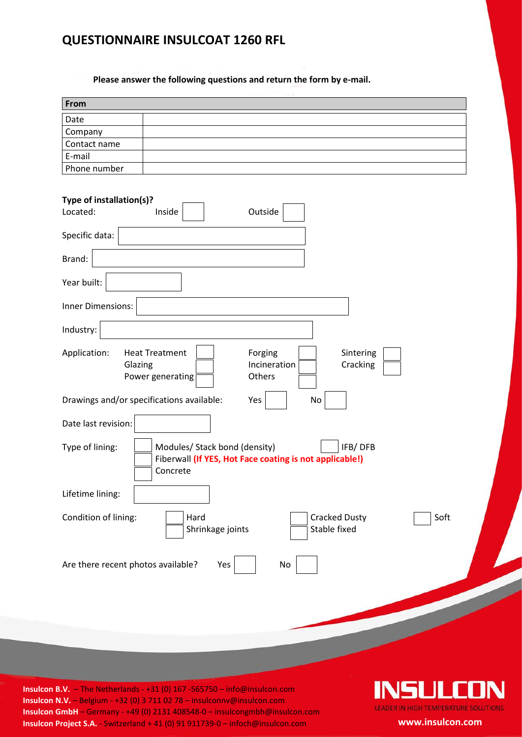## **QUESTIONNAIRE INSULCOAT 1260 RFL**

**Please answer the following questions and return the form by e-mail.**

| Date                                                                                                                                            |                                                                    |
|-------------------------------------------------------------------------------------------------------------------------------------------------|--------------------------------------------------------------------|
| Company<br>Contact name<br>E-mail<br>Phone number                                                                                               |                                                                    |
| Type of installation(s)?                                                                                                                        |                                                                    |
|                                                                                                                                                 |                                                                    |
|                                                                                                                                                 |                                                                    |
|                                                                                                                                                 |                                                                    |
| Located:<br>Inside<br>Specific data:<br>Brand:<br>Year built:<br><b>Inner Dimensions:</b><br>Industry:<br>Application:<br><b>Heat Treatment</b> | Outside<br>Forging<br>Sintering                                    |
| Glazing<br>Power generating<br>Drawings and/or specifications available:<br>Date last revision:                                                 | Incineration<br>Cracking<br>Others<br>Yes<br>No                    |
| Type of lining:<br>Modules/ Stack bond (density)<br>Concrete                                                                                    | IFB/DFB<br>Fiberwall (If YES, Hot Face coating is not applicable!) |
| Lifetime lining:                                                                                                                                |                                                                    |
| Condition of lining:<br>Hard<br>Shrinkage joints                                                                                                | <b>Cracked Dusty</b><br>Soft<br>Stable fixed                       |
| Are there recent photos available?<br>Yes                                                                                                       | $\operatorname{\mathsf{No}}$                                       |

**Insulcon B.V.** – The Netherlands - +31 (0) 167 -565750 – info@insulcon.com **Insulcon N.V.** – Belgium - +32 (0) 3 711 02 78 – insulconnv@insulcon.com **Insulcon GmbH** – Germany - +49 (0) 2131 408548-0 – insulcongmbh@insulcon.com **Insulcon Project S.A.** - Switzerland + 41 (0) 91 911739-0 – infoch@insulcon.com **www.insulcon.com**